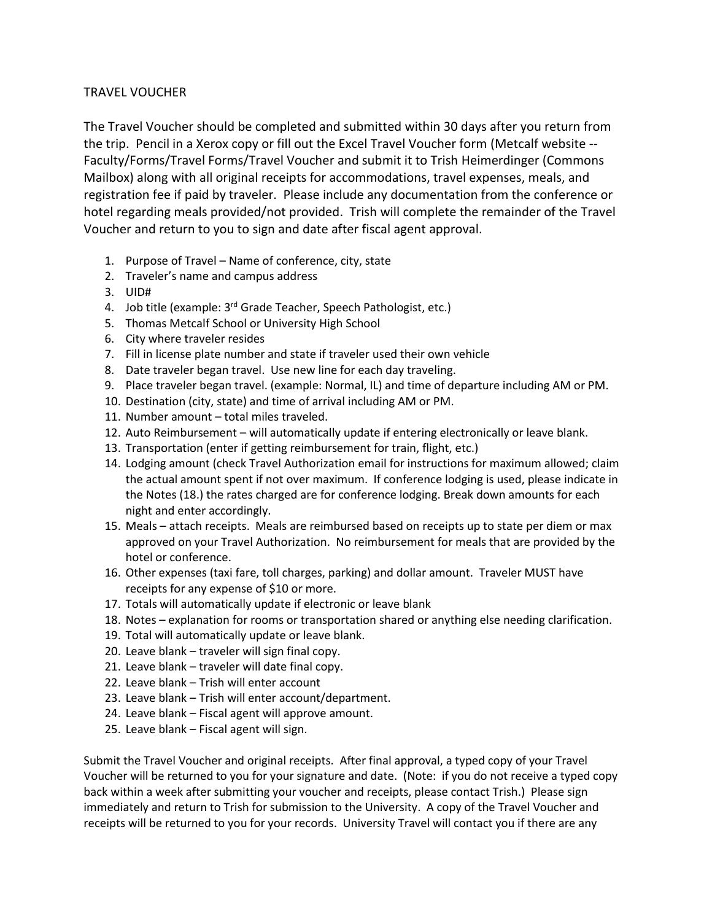## TRAVEL VOUCHER

The Travel Voucher should be completed and submitted within 30 days after you return from the trip. Pencil in a Xerox copy or fill out the Excel Travel Voucher form (Metcalf website -- Faculty/Forms/Travel Forms/Travel Voucher and submit it to Trish Heimerdinger (Commons Mailbox) along with all original receipts for accommodations, travel expenses, meals, and registration fee if paid by traveler. Please include any documentation from the conference or hotel regarding meals provided/not provided. Trish will complete the remainder of the Travel Voucher and return to you to sign and date after fiscal agent approval.

- 1. Purpose of Travel Name of conference, city, state
- 2. Traveler's name and campus address
- 3. UID#
- 4. Job title (example: 3<sup>rd</sup> Grade Teacher, Speech Pathologist, etc.)
- 5. Thomas Metcalf School or University High School
- 6. City where traveler resides
- 7. Fill in license plate number and state if traveler used their own vehicle
- 8. Date traveler began travel. Use new line for each day traveling.
- 9. Place traveler began travel. (example: Normal, IL) and time of departure including AM or PM.
- 10. Destination (city, state) and time of arrival including AM or PM.
- 11. Number amount total miles traveled.
- 12. Auto Reimbursement will automatically update if entering electronically or leave blank.
- 13. Transportation (enter if getting reimbursement for train, flight, etc.)
- 14. Lodging amount (check Travel Authorization email for instructions for maximum allowed; claim the actual amount spent if not over maximum. If conference lodging is used, please indicate in the Notes (18.) the rates charged are for conference lodging. Break down amounts for each night and enter accordingly.
- 15. Meals attach receipts. Meals are reimbursed based on receipts up to state per diem or max approved on your Travel Authorization. No reimbursement for meals that are provided by the hotel or conference.
- 16. Other expenses (taxi fare, toll charges, parking) and dollar amount. Traveler MUST have receipts for any expense of \$10 or more.
- 17. Totals will automatically update if electronic or leave blank
- 18. Notes explanation for rooms or transportation shared or anything else needing clarification.
- 19. Total will automatically update or leave blank.
- 20. Leave blank traveler will sign final copy.
- 21. Leave blank traveler will date final copy.
- 22. Leave blank Trish will enter account
- 23. Leave blank Trish will enter account/department.
- 24. Leave blank Fiscal agent will approve amount.
- 25. Leave blank Fiscal agent will sign.

Submit the Travel Voucher and original receipts. After final approval, a typed copy of your Travel Voucher will be returned to you for your signature and date. (Note: if you do not receive a typed copy back within a week after submitting your voucher and receipts, please contact Trish.) Please sign immediately and return to Trish for submission to the University. A copy of the Travel Voucher and receipts will be returned to you for your records. University Travel will contact you if there are any